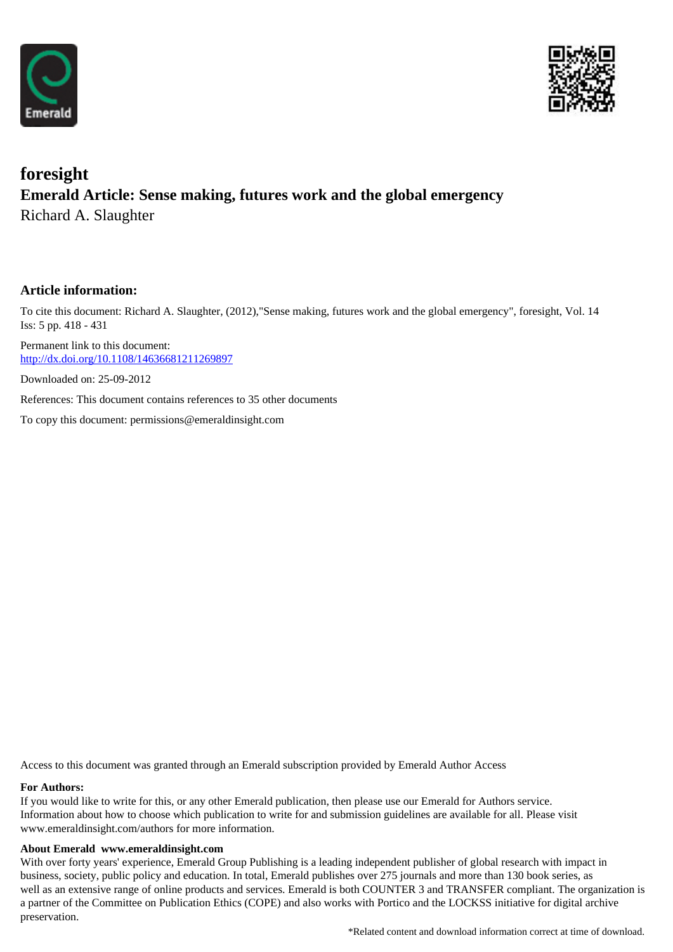



# **foresight Emerald Article: Sense making, futures work and the global emergency** Richard A. Slaughter

## **Article information:**

To cite this document: Richard A. Slaughter, (2012),"Sense making, futures work and the global emergency", foresight, Vol. 14 Iss: 5 pp. 418 - 431

Permanent link to this document: http://dx.doi.org/10.1108/14636681211269897

Downloaded on: 25-09-2012

References: This document contains references to 35 other documents

To copy this document: permissions@emeraldinsight.com

Access to this document was granted through an Emerald subscription provided by Emerald Author Access

#### **For Authors:**

If you would like to write for this, or any other Emerald publication, then please use our Emerald for Authors service. Information about how to choose which publication to write for and submission guidelines are available for all. Please visit www.emeraldinsight.com/authors for more information.

#### **About Emerald www.emeraldinsight.com**

With over forty years' experience, Emerald Group Publishing is a leading independent publisher of global research with impact in business, society, public policy and education. In total, Emerald publishes over 275 journals and more than 130 book series, as well as an extensive range of online products and services. Emerald is both COUNTER 3 and TRANSFER compliant. The organization is a partner of the Committee on Publication Ethics (COPE) and also works with Portico and the LOCKSS initiative for digital archive preservation.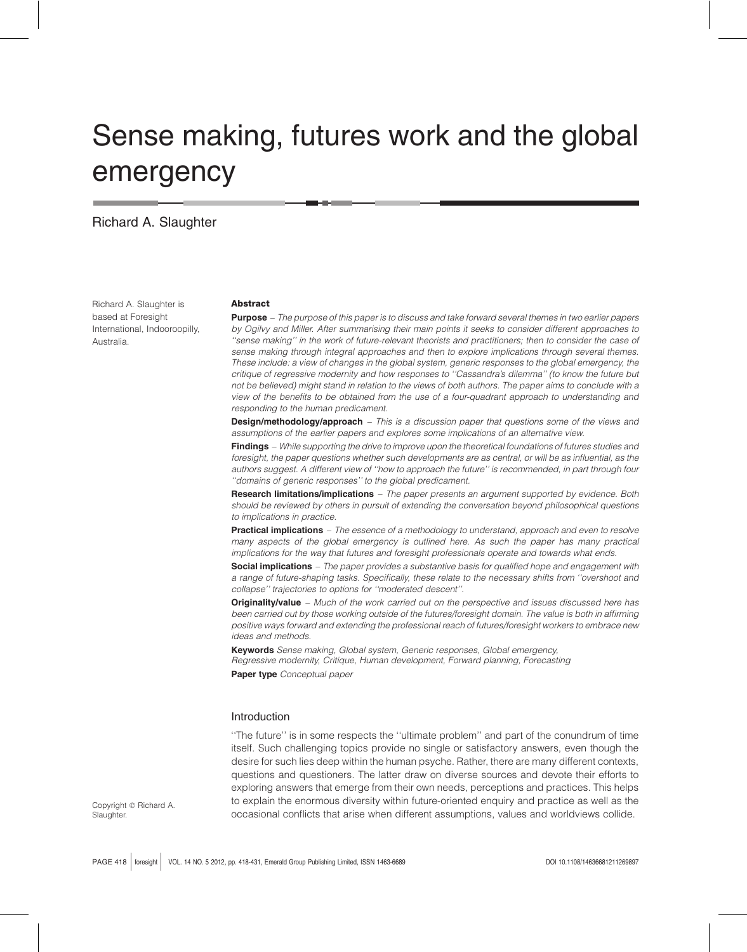# Sense making, futures work and the global emergency

### Richard A. Slaughter

Richard A. Slaughter is based at Foresight International, Indooroopilly, Australia.

#### Abstract

**Purpose** – The purpose of this paper is to discuss and take forward several themes in two earlier papers by Ogilvy and Miller. After summarising their main points it seeks to consider different approaches to ''sense making'' in the work of future-relevant theorists and practitioners; then to consider the case of sense making through integral approaches and then to explore implications through several themes. These include: a view of changes in the global system, generic responses to the global emergency, the critique of regressive modernity and how responses to ''Cassandra's dilemma'' (to know the future but not be believed) might stand in relation to the views of both authors. The paper aims to conclude with a view of the benefits to be obtained from the use of a four-quadrant approach to understanding and responding to the human predicament.

**Design/methodology/approach** - This is a discussion paper that questions some of the views and assumptions of the earlier papers and explores some implications of an alternative view.

Findings – While supporting the drive to improve upon the theoretical foundations of futures studies and foresight, the paper questions whether such developments are as central, or will be as influential, as the authors suggest. A different view of ''how to approach the future'' is recommended, in part through four ''domains of generic responses'' to the global predicament.

Research limitations/implications – The paper presents an argument supported by evidence. Both should be reviewed by others in pursuit of extending the conversation beyond philosophical questions to implications in practice.

**Practical implications** – The essence of a methodology to understand, approach and even to resolve many aspects of the global emergency is outlined here. As such the paper has many practical implications for the way that futures and foresight professionals operate and towards what ends.

Social implications – The paper provides a substantive basis for qualified hope and engagement with a range of future-shaping tasks. Specifically, these relate to the necessary shifts from ''overshoot and collapse'' trajectories to options for ''moderated descent''.

**Originality/value** – Much of the work carried out on the perspective and issues discussed here has been carried out by those working outside of the futures/foresight domain. The value is both in affirming positive ways forward and extending the professional reach of futures/foresight workers to embrace new ideas and methods.

**Keywords** Sense making, Global system, Generic responses, Global emergency, Regressive modernity, Critique, Human development, Forward planning, Forecasting

Paper type Conceptual paper

#### Introduction

''The future'' is in some respects the ''ultimate problem'' and part of the conundrum of time itself. Such challenging topics provide no single or satisfactory answers, even though the desire for such lies deep within the human psyche. Rather, there are many different contexts, questions and questioners. The latter draw on diverse sources and devote their efforts to exploring answers that emerge from their own needs, perceptions and practices. This helps to explain the enormous diversity within future-oriented enquiry and practice as well as the occasional conflicts that arise when different assumptions, values and worldviews collide.

Copyright © Richard A. Slaughter.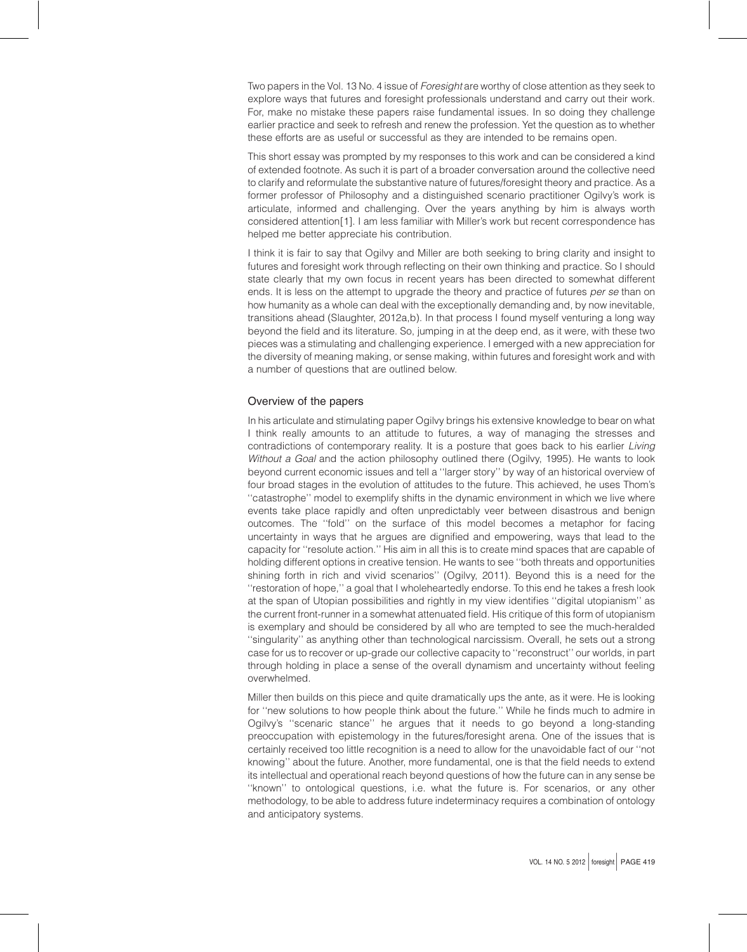Two papers in the Vol. 13 No. 4 issue of Foresight are worthy of close attention as they seek to explore ways that futures and foresight professionals understand and carry out their work. For, make no mistake these papers raise fundamental issues. In so doing they challenge earlier practice and seek to refresh and renew the profession. Yet the question as to whether these efforts are as useful or successful as they are intended to be remains open.

This short essay was prompted by my responses to this work and can be considered a kind of extended footnote. As such it is part of a broader conversation around the collective need to clarify and reformulate the substantive nature of futures/foresight theory and practice. As a former professor of Philosophy and a distinguished scenario practitioner Ogilvy's work is articulate, informed and challenging. Over the years anything by him is always worth considered attention[1]. I am less familiar with Miller's work but recent correspondence has helped me better appreciate his contribution.

I think it is fair to say that Ogilvy and Miller are both seeking to bring clarity and insight to futures and foresight work through reflecting on their own thinking and practice. So I should state clearly that my own focus in recent years has been directed to somewhat different ends. It is less on the attempt to upgrade the theory and practice of futures per se than on how humanity as a whole can deal with the exceptionally demanding and, by now inevitable, transitions ahead (Slaughter, 2012a,b). In that process I found myself venturing a long way beyond the field and its literature. So, jumping in at the deep end, as it were, with these two pieces was a stimulating and challenging experience. I emerged with a new appreciation for the diversity of meaning making, or sense making, within futures and foresight work and with a number of questions that are outlined below.

#### Overview of the papers

In his articulate and stimulating paper Ogilvy brings his extensive knowledge to bear on what I think really amounts to an attitude to futures, a way of managing the stresses and contradictions of contemporary reality. It is a posture that goes back to his earlier Living Without a Goal and the action philosophy outlined there (Ogilvy, 1995). He wants to look beyond current economic issues and tell a ''larger story'' by way of an historical overview of four broad stages in the evolution of attitudes to the future. This achieved, he uses Thom's ''catastrophe'' model to exemplify shifts in the dynamic environment in which we live where events take place rapidly and often unpredictably veer between disastrous and benign outcomes. The ''fold'' on the surface of this model becomes a metaphor for facing uncertainty in ways that he argues are dignified and empowering, ways that lead to the capacity for ''resolute action.'' His aim in all this is to create mind spaces that are capable of holding different options in creative tension. He wants to see ''both threats and opportunities shining forth in rich and vivid scenarios'' (Ogilvy, 2011). Beyond this is a need for the ''restoration of hope,'' a goal that I wholeheartedly endorse. To this end he takes a fresh look at the span of Utopian possibilities and rightly in my view identifies ''digital utopianism'' as the current front-runner in a somewhat attenuated field. His critique of this form of utopianism is exemplary and should be considered by all who are tempted to see the much-heralded ''singularity'' as anything other than technological narcissism. Overall, he sets out a strong case for us to recover or up-grade our collective capacity to ''reconstruct'' our worlds, in part through holding in place a sense of the overall dynamism and uncertainty without feeling overwhelmed.

Miller then builds on this piece and quite dramatically ups the ante, as it were. He is looking for ''new solutions to how people think about the future.'' While he finds much to admire in Ogilvy's ''scenaric stance'' he argues that it needs to go beyond a long-standing preoccupation with epistemology in the futures/foresight arena. One of the issues that is certainly received too little recognition is a need to allow for the unavoidable fact of our ''not knowing'' about the future. Another, more fundamental, one is that the field needs to extend its intellectual and operational reach beyond questions of how the future can in any sense be ''known'' to ontological questions, i.e. what the future is. For scenarios, or any other methodology, to be able to address future indeterminacy requires a combination of ontology and anticipatory systems.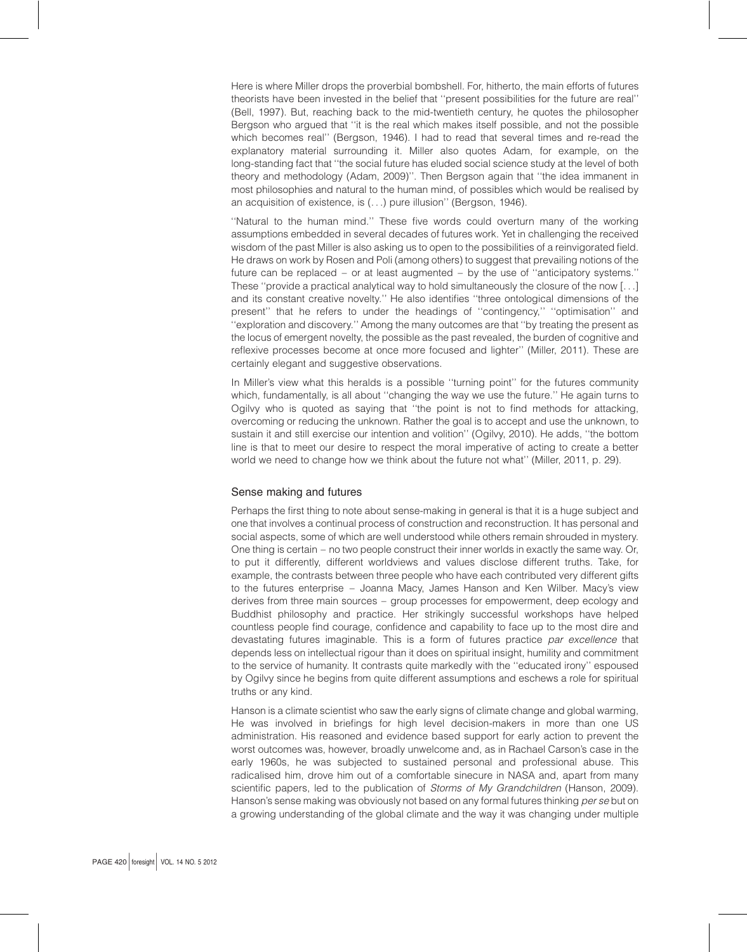Here is where Miller drops the proverbial bombshell. For, hitherto, the main efforts of futures theorists have been invested in the belief that ''present possibilities for the future are real'' (Bell, 1997). But, reaching back to the mid-twentieth century, he quotes the philosopher Bergson who argued that ''it is the real which makes itself possible, and not the possible which becomes real'' (Bergson, 1946). I had to read that several times and re-read the explanatory material surrounding it. Miller also quotes Adam, for example, on the long-standing fact that ''the social future has eluded social science study at the level of both theory and methodology (Adam, 2009)''. Then Bergson again that ''the idea immanent in most philosophies and natural to the human mind, of possibles which would be realised by an acquisition of existence, is (. . .) pure illusion'' (Bergson, 1946).

''Natural to the human mind.'' These five words could overturn many of the working assumptions embedded in several decades of futures work. Yet in challenging the received wisdom of the past Miller is also asking us to open to the possibilities of a reinvigorated field. He draws on work by Rosen and Poli (among others) to suggest that prevailing notions of the future can be replaced – or at least augmented – by the use of ''anticipatory systems.'' These ''provide a practical analytical way to hold simultaneously the closure of the now [. . .] and its constant creative novelty.'' He also identifies ''three ontological dimensions of the present'' that he refers to under the headings of ''contingency,'' ''optimisation'' and ''exploration and discovery.'' Among the many outcomes are that ''by treating the present as the locus of emergent novelty, the possible as the past revealed, the burden of cognitive and reflexive processes become at once more focused and lighter'' (Miller, 2011). These are certainly elegant and suggestive observations.

In Miller's view what this heralds is a possible ''turning point'' for the futures community which, fundamentally, is all about "changing the way we use the future." He again turns to Ogilvy who is quoted as saying that ''the point is not to find methods for attacking, overcoming or reducing the unknown. Rather the goal is to accept and use the unknown, to sustain it and still exercise our intention and volition'' (Ogilvy, 2010). He adds, ''the bottom line is that to meet our desire to respect the moral imperative of acting to create a better world we need to change how we think about the future not what'' (Miller, 2011, p. 29).

#### Sense making and futures

Perhaps the first thing to note about sense-making in general is that it is a huge subject and one that involves a continual process of construction and reconstruction. It has personal and social aspects, some of which are well understood while others remain shrouded in mystery. One thing is certain – no two people construct their inner worlds in exactly the same way. Or, to put it differently, different worldviews and values disclose different truths. Take, for example, the contrasts between three people who have each contributed very different gifts to the futures enterprise – Joanna Macy, James Hanson and Ken Wilber. Macy's view derives from three main sources – group processes for empowerment, deep ecology and Buddhist philosophy and practice. Her strikingly successful workshops have helped countless people find courage, confidence and capability to face up to the most dire and devastating futures imaginable. This is a form of futures practice par excellence that depends less on intellectual rigour than it does on spiritual insight, humility and commitment to the service of humanity. It contrasts quite markedly with the ''educated irony'' espoused by Ogilvy since he begins from quite different assumptions and eschews a role for spiritual truths or any kind.

Hanson is a climate scientist who saw the early signs of climate change and global warming, He was involved in briefings for high level decision-makers in more than one US administration. His reasoned and evidence based support for early action to prevent the worst outcomes was, however, broadly unwelcome and, as in Rachael Carson's case in the early 1960s, he was subjected to sustained personal and professional abuse. This radicalised him, drove him out of a comfortable sinecure in NASA and, apart from many scientific papers, led to the publication of Storms of My Grandchildren (Hanson, 2009). Hanson's sense making was obviously not based on any formal futures thinking per se but on a growing understanding of the global climate and the way it was changing under multiple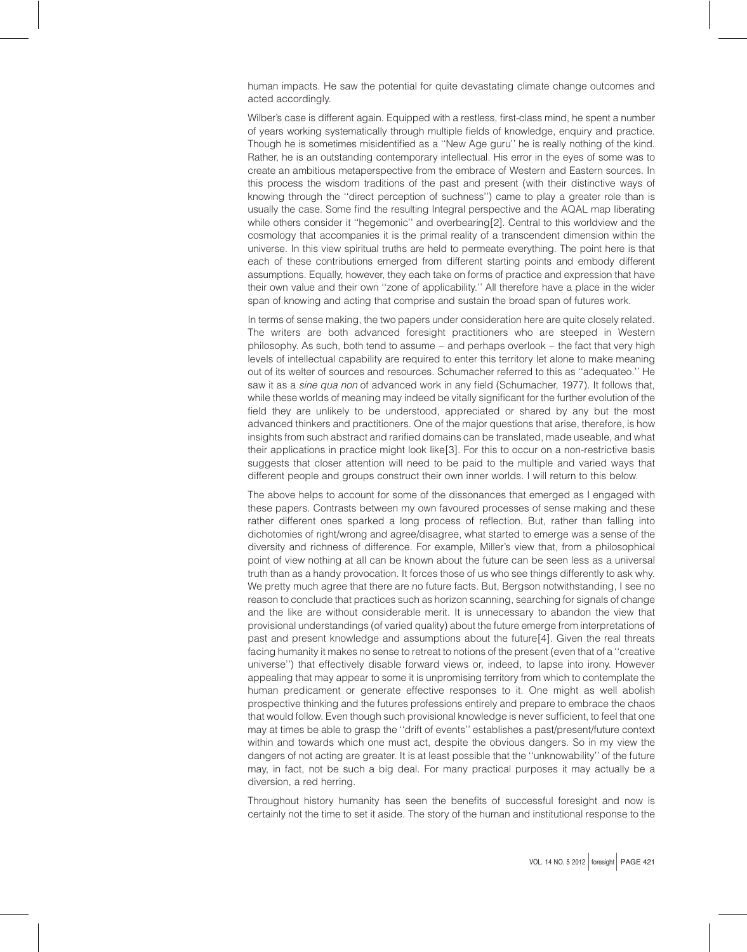human impacts. He saw the potential for quite devastating climate change outcomes and acted accordingly.

Wilber's case is different again. Equipped with a restless, first-class mind, he spent a number of years working systematically through multiple fields of knowledge, enquiry and practice. Though he is sometimes misidentified as a ''New Age guru'' he is really nothing of the kind. Rather, he is an outstanding contemporary intellectual. His error in the eyes of some was to create an ambitious metaperspective from the embrace of Western and Eastern sources. In this process the wisdom traditions of the past and present (with their distinctive ways of knowing through the ''direct perception of suchness'') came to play a greater role than is usually the case. Some find the resulting Integral perspective and the AQAL map liberating while others consider it "hegemonic" and overbearing[2]. Central to this worldview and the cosmology that accompanies it is the primal reality of a transcendent dimension within the universe. In this view spiritual truths are held to permeate everything. The point here is that each of these contributions emerged from different starting points and embody different assumptions. Equally, however, they each take on forms of practice and expression that have their own value and their own ''zone of applicability.'' All therefore have a place in the wider span of knowing and acting that comprise and sustain the broad span of futures work.

In terms of sense making, the two papers under consideration here are quite closely related. The writers are both advanced foresight practitioners who are steeped in Western philosophy. As such, both tend to assume – and perhaps overlook – the fact that very high levels of intellectual capability are required to enter this territory let alone to make meaning out of its welter of sources and resources. Schumacher referred to this as ''adequateo.'' He saw it as a sine qua non of advanced work in any field (Schumacher, 1977). It follows that, while these worlds of meaning may indeed be vitally significant for the further evolution of the field they are unlikely to be understood, appreciated or shared by any but the most advanced thinkers and practitioners. One of the major questions that arise, therefore, is how insights from such abstract and rarified domains can be translated, made useable, and what their applications in practice might look like[3]. For this to occur on a non-restrictive basis suggests that closer attention will need to be paid to the multiple and varied ways that different people and groups construct their own inner worlds. I will return to this below.

The above helps to account for some of the dissonances that emerged as I engaged with these papers. Contrasts between my own favoured processes of sense making and these rather different ones sparked a long process of reflection. But, rather than falling into dichotomies of right/wrong and agree/disagree, what started to emerge was a sense of the diversity and richness of difference. For example, Miller's view that, from a philosophical point of view nothing at all can be known about the future can be seen less as a universal truth than as a handy provocation. It forces those of us who see things differently to ask why. We pretty much agree that there are no future facts. But, Bergson notwithstanding, I see no reason to conclude that practices such as horizon scanning, searching for signals of change and the like are without considerable merit. It is unnecessary to abandon the view that provisional understandings (of varied quality) about the future emerge from interpretations of past and present knowledge and assumptions about the future[4]. Given the real threats facing humanity it makes no sense to retreat to notions of the present (even that of a ''creative universe'') that effectively disable forward views or, indeed, to lapse into irony. However appealing that may appear to some it is unpromising territory from which to contemplate the human predicament or generate effective responses to it. One might as well abolish prospective thinking and the futures professions entirely and prepare to embrace the chaos that would follow. Even though such provisional knowledge is never sufficient, to feel that one may at times be able to grasp the ''drift of events'' establishes a past/present/future context within and towards which one must act, despite the obvious dangers. So in my view the dangers of not acting are greater. It is at least possible that the ''unknowability'' of the future may, in fact, not be such a big deal. For many practical purposes it may actually be a diversion, a red herring.

Throughout history humanity has seen the benefits of successful foresight and now is certainly not the time to set it aside. The story of the human and institutional response to the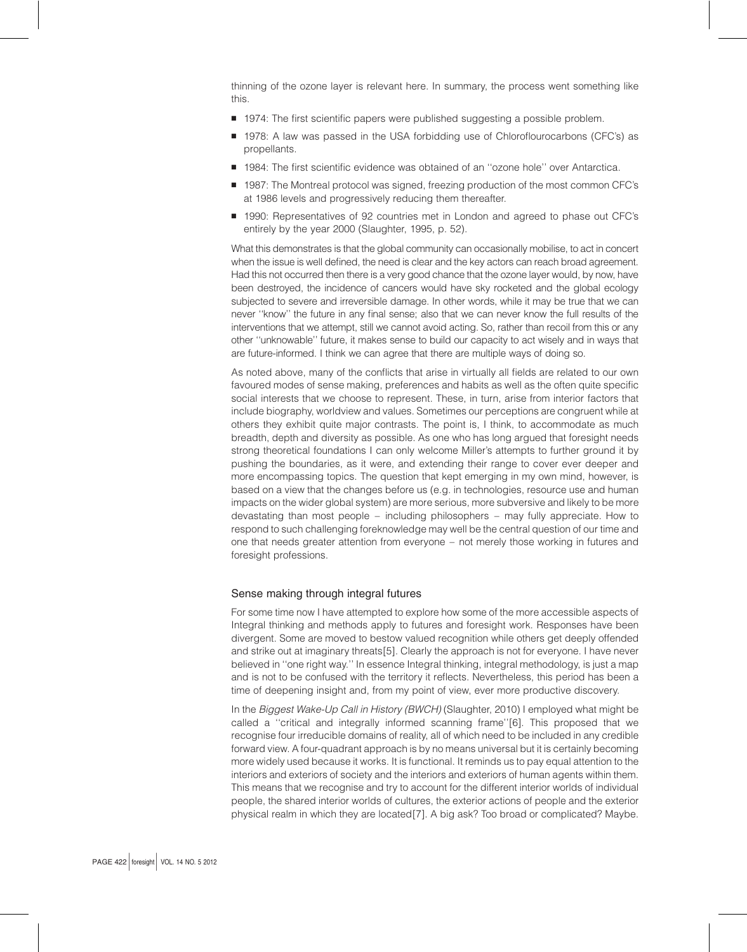thinning of the ozone layer is relevant here. In summary, the process went something like this.

- **B** 1974: The first scientific papers were published suggesting a possible problem.
- 1978: A law was passed in the USA forbidding use of Chloroflourocarbons (CFC's) as propellants.
- **B** 1984: The first scientific evidence was obtained of an "ozone hole" over Antarctica.
- 1987: The Montreal protocol was signed, freezing production of the most common CFC's at 1986 levels and progressively reducing them thereafter.
- <sup>B</sup> 1990: Representatives of 92 countries met in London and agreed to phase out CFC's entirely by the year 2000 (Slaughter, 1995, p. 52).

What this demonstrates is that the global community can occasionally mobilise, to act in concert when the issue is well defined, the need is clear and the key actors can reach broad agreement. Had this not occurred then there is a very good chance that the ozone layer would, by now, have been destroyed, the incidence of cancers would have sky rocketed and the global ecology subjected to severe and irreversible damage. In other words, while it may be true that we can never ''know'' the future in any final sense; also that we can never know the full results of the interventions that we attempt, still we cannot avoid acting. So, rather than recoil from this or any other ''unknowable'' future, it makes sense to build our capacity to act wisely and in ways that are future-informed. I think we can agree that there are multiple ways of doing so.

As noted above, many of the conflicts that arise in virtually all fields are related to our own favoured modes of sense making, preferences and habits as well as the often quite specific social interests that we choose to represent. These, in turn, arise from interior factors that include biography, worldview and values. Sometimes our perceptions are congruent while at others they exhibit quite major contrasts. The point is, I think, to accommodate as much breadth, depth and diversity as possible. As one who has long argued that foresight needs strong theoretical foundations I can only welcome Miller's attempts to further ground it by pushing the boundaries, as it were, and extending their range to cover ever deeper and more encompassing topics. The question that kept emerging in my own mind, however, is based on a view that the changes before us (e.g. in technologies, resource use and human impacts on the wider global system) are more serious, more subversive and likely to be more devastating than most people – including philosophers – may fully appreciate. How to respond to such challenging foreknowledge may well be the central question of our time and one that needs greater attention from everyone – not merely those working in futures and foresight professions.

#### Sense making through integral futures

For some time now I have attempted to explore how some of the more accessible aspects of Integral thinking and methods apply to futures and foresight work. Responses have been divergent. Some are moved to bestow valued recognition while others get deeply offended and strike out at imaginary threats[5]. Clearly the approach is not for everyone. I have never believed in ''one right way.'' In essence Integral thinking, integral methodology, is just a map and is not to be confused with the territory it reflects. Nevertheless, this period has been a time of deepening insight and, from my point of view, ever more productive discovery.

In the Biggest Wake-Up Call in History (BWCH) (Slaughter, 2010) I employed what might be called a ''critical and integrally informed scanning frame''[6]. This proposed that we recognise four irreducible domains of reality, all of which need to be included in any credible forward view. A four-quadrant approach is by no means universal but it is certainly becoming more widely used because it works. It is functional. It reminds us to pay equal attention to the interiors and exteriors of society and the interiors and exteriors of human agents within them. This means that we recognise and try to account for the different interior worlds of individual people, the shared interior worlds of cultures, the exterior actions of people and the exterior physical realm in which they are located[7]. A big ask? Too broad or complicated? Maybe.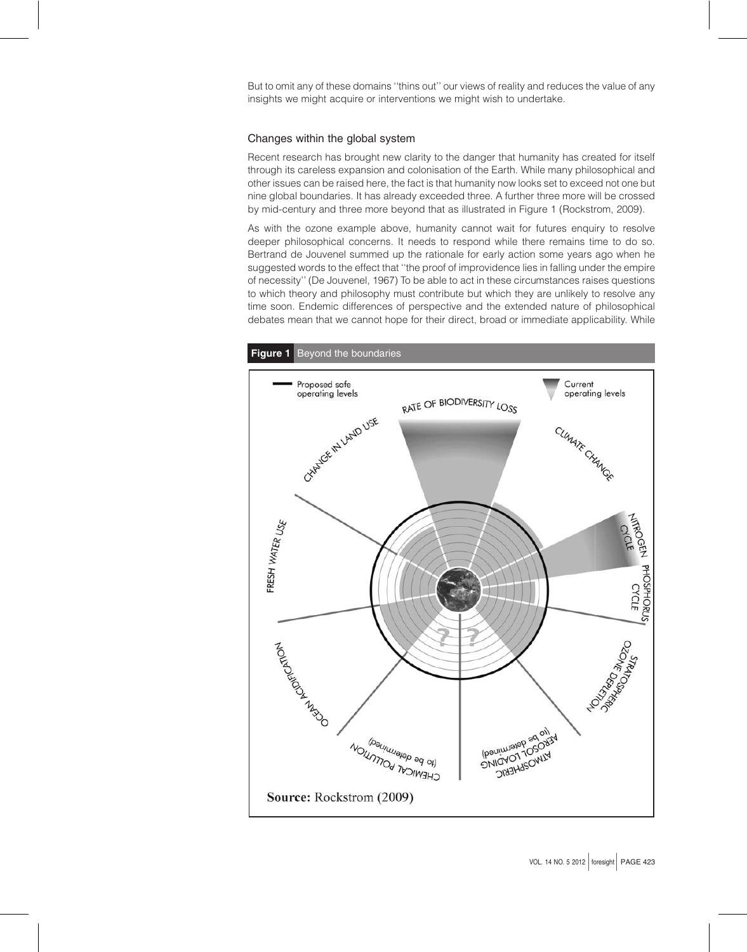But to omit any of these domains ''thins out'' our views of reality and reduces the value of any insights we might acquire or interventions we might wish to undertake.

#### Changes within the global system

Recent research has brought new clarity to the danger that humanity has created for itself through its careless expansion and colonisation of the Earth. While many philosophical and other issues can be raised here, the fact is that humanity now looks set to exceed not one but nine global boundaries. It has already exceeded three. A further three more will be crossed by mid-century and three more beyond that as illustrated in Figure 1 (Rockstrom, 2009).

As with the ozone example above, humanity cannot wait for futures enquiry to resolve deeper philosophical concerns. It needs to respond while there remains time to do so. Bertrand de Jouvenel summed up the rationale for early action some years ago when he suggested words to the effect that ''the proof of improvidence lies in falling under the empire of necessity'' (De Jouvenel, 1967) To be able to act in these circumstances raises questions to which theory and philosophy must contribute but which they are unlikely to resolve any time soon. Endemic differences of perspective and the extended nature of philosophical debates mean that we cannot hope for their direct, broad or immediate applicability. While

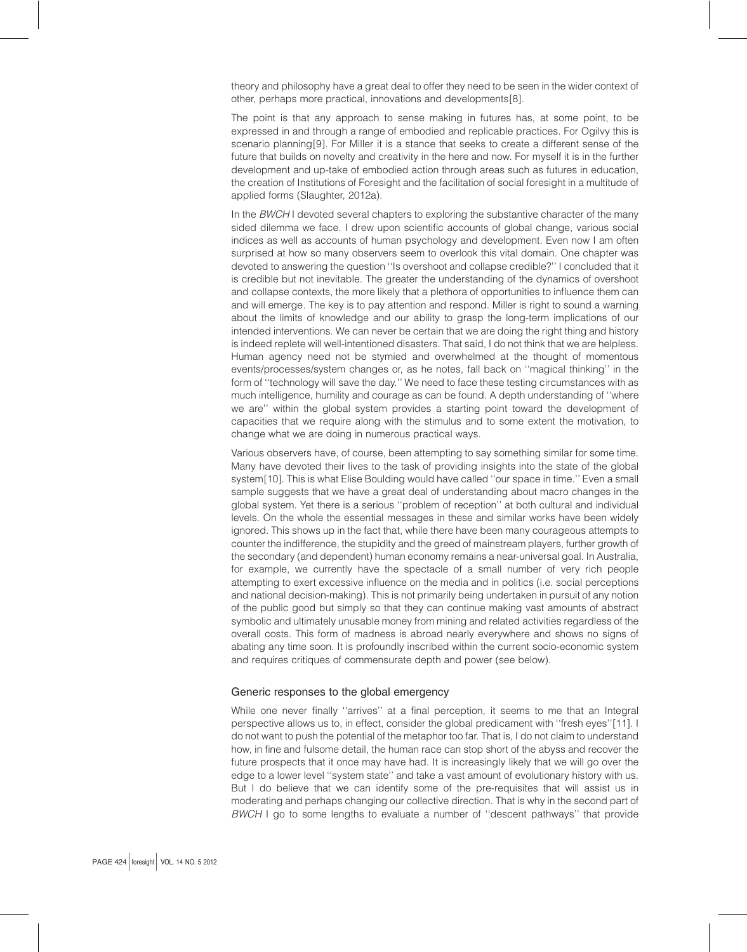theory and philosophy have a great deal to offer they need to be seen in the wider context of other, perhaps more practical, innovations and developments[8].

The point is that any approach to sense making in futures has, at some point, to be expressed in and through a range of embodied and replicable practices. For Ogilvy this is scenario planning[9]. For Miller it is a stance that seeks to create a different sense of the future that builds on novelty and creativity in the here and now. For myself it is in the further development and up-take of embodied action through areas such as futures in education, the creation of Institutions of Foresight and the facilitation of social foresight in a multitude of applied forms (Slaughter, 2012a).

In the BWCH I devoted several chapters to exploring the substantive character of the many sided dilemma we face. I drew upon scientific accounts of global change, various social indices as well as accounts of human psychology and development. Even now I am often surprised at how so many observers seem to overlook this vital domain. One chapter was devoted to answering the question ''Is overshoot and collapse credible?'' I concluded that it is credible but not inevitable. The greater the understanding of the dynamics of overshoot and collapse contexts, the more likely that a plethora of opportunities to influence them can and will emerge. The key is to pay attention and respond. Miller is right to sound a warning about the limits of knowledge and our ability to grasp the long-term implications of our intended interventions. We can never be certain that we are doing the right thing and history is indeed replete will well-intentioned disasters. That said, I do not think that we are helpless. Human agency need not be stymied and overwhelmed at the thought of momentous events/processes/system changes or, as he notes, fall back on ''magical thinking'' in the form of ''technology will save the day.'' We need to face these testing circumstances with as much intelligence, humility and courage as can be found. A depth understanding of ''where we are'' within the global system provides a starting point toward the development of capacities that we require along with the stimulus and to some extent the motivation, to change what we are doing in numerous practical ways.

Various observers have, of course, been attempting to say something similar for some time. Many have devoted their lives to the task of providing insights into the state of the global system[10]. This is what Elise Boulding would have called ''our space in time.'' Even a small sample suggests that we have a great deal of understanding about macro changes in the global system. Yet there is a serious ''problem of reception'' at both cultural and individual levels. On the whole the essential messages in these and similar works have been widely ignored. This shows up in the fact that, while there have been many courageous attempts to counter the indifference, the stupidity and the greed of mainstream players, further growth of the secondary (and dependent) human economy remains a near-universal goal. In Australia, for example, we currently have the spectacle of a small number of very rich people attempting to exert excessive influence on the media and in politics (i.e. social perceptions and national decision-making). This is not primarily being undertaken in pursuit of any notion of the public good but simply so that they can continue making vast amounts of abstract symbolic and ultimately unusable money from mining and related activities regardless of the overall costs. This form of madness is abroad nearly everywhere and shows no signs of abating any time soon. It is profoundly inscribed within the current socio-economic system and requires critiques of commensurate depth and power (see below).

#### Generic responses to the global emergency

While one never finally "arrives" at a final perception, it seems to me that an Integral perspective allows us to, in effect, consider the global predicament with ''fresh eyes''[11]. I do not want to push the potential of the metaphor too far. That is, I do not claim to understand how, in fine and fulsome detail, the human race can stop short of the abyss and recover the future prospects that it once may have had. It is increasingly likely that we will go over the edge to a lower level ''system state'' and take a vast amount of evolutionary history with us. But I do believe that we can identify some of the pre-requisites that will assist us in moderating and perhaps changing our collective direction. That is why in the second part of BWCH I go to some lengths to evaluate a number of ''descent pathways'' that provide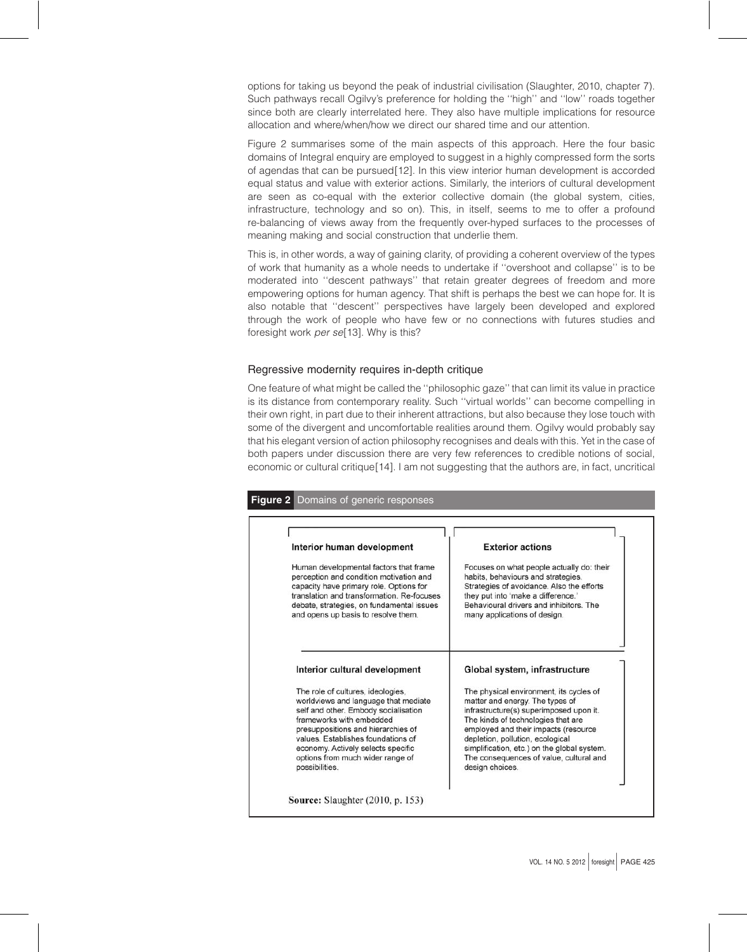options for taking us beyond the peak of industrial civilisation (Slaughter, 2010, chapter 7). Such pathways recall Ogilvy's preference for holding the ''high'' and ''low'' roads together since both are clearly interrelated here. They also have multiple implications for resource allocation and where/when/how we direct our shared time and our attention.

Figure 2 summarises some of the main aspects of this approach. Here the four basic domains of Integral enquiry are employed to suggest in a highly compressed form the sorts of agendas that can be pursued[12]. In this view interior human development is accorded equal status and value with exterior actions. Similarly, the interiors of cultural development are seen as co-equal with the exterior collective domain (the global system, cities, infrastructure, technology and so on). This, in itself, seems to me to offer a profound re-balancing of views away from the frequently over-hyped surfaces to the processes of meaning making and social construction that underlie them.

This is, in other words, a way of gaining clarity, of providing a coherent overview of the types of work that humanity as a whole needs to undertake if ''overshoot and collapse'' is to be moderated into ''descent pathways'' that retain greater degrees of freedom and more empowering options for human agency. That shift is perhaps the best we can hope for. It is also notable that ''descent'' perspectives have largely been developed and explored through the work of people who have few or no connections with futures studies and foresight work per se<sup>[13]</sup>. Why is this?

#### Regressive modernity requires in-depth critique

One feature of what might be called the ''philosophic gaze'' that can limit its value in practice is its distance from contemporary reality. Such ''virtual worlds'' can become compelling in their own right, in part due to their inherent attractions, but also because they lose touch with some of the divergent and uncomfortable realities around them. Ogilvy would probably say that his elegant version of action philosophy recognises and deals with this. Yet in the case of both papers under discussion there are very few references to credible notions of social, economic or cultural critique[14]. I am not suggesting that the authors are, in fact, uncritical

| Interior human development                                                                                                                                                                                                                                                                                            | <b>Exterior actions</b>                                                                                                                                                                                                                                                                                                                              |
|-----------------------------------------------------------------------------------------------------------------------------------------------------------------------------------------------------------------------------------------------------------------------------------------------------------------------|------------------------------------------------------------------------------------------------------------------------------------------------------------------------------------------------------------------------------------------------------------------------------------------------------------------------------------------------------|
| Human developmental factors that frame<br>perception and condition motivation and<br>capacity have primary role. Options for<br>translation and transformation. Re-focuses<br>debate, strategies, on fundamental issues<br>and opens up basis to resolve them.                                                        | Focuses on what people actually do: their<br>habits, behaviours and strategies.<br>Strategies of avoidance. Also the efforts<br>they put into 'make a difference.'<br>Behavioural drivers and inhibitors. The<br>many applications of design.                                                                                                        |
| Interior cultural development                                                                                                                                                                                                                                                                                         | Global system, infrastructure                                                                                                                                                                                                                                                                                                                        |
| The role of cultures, ideologies,<br>worldviews and language that mediate<br>self and other. Embody socialisation<br>frameworks with embedded<br>presuppositions and hierarchies of<br>values. Establishes foundations of<br>economy. Actively selects specific<br>options from much wider range of<br>possibilities. | The physical environment, its cycles of<br>matter and energy. The types of<br>infrastructure(s) superimposed upon it.<br>The kinds of technologies that are<br>employed and their impacts (resource<br>depletion, pollution, ecological<br>simplification, etc.) on the global system.<br>The consequences of value, cultural and<br>design choices. |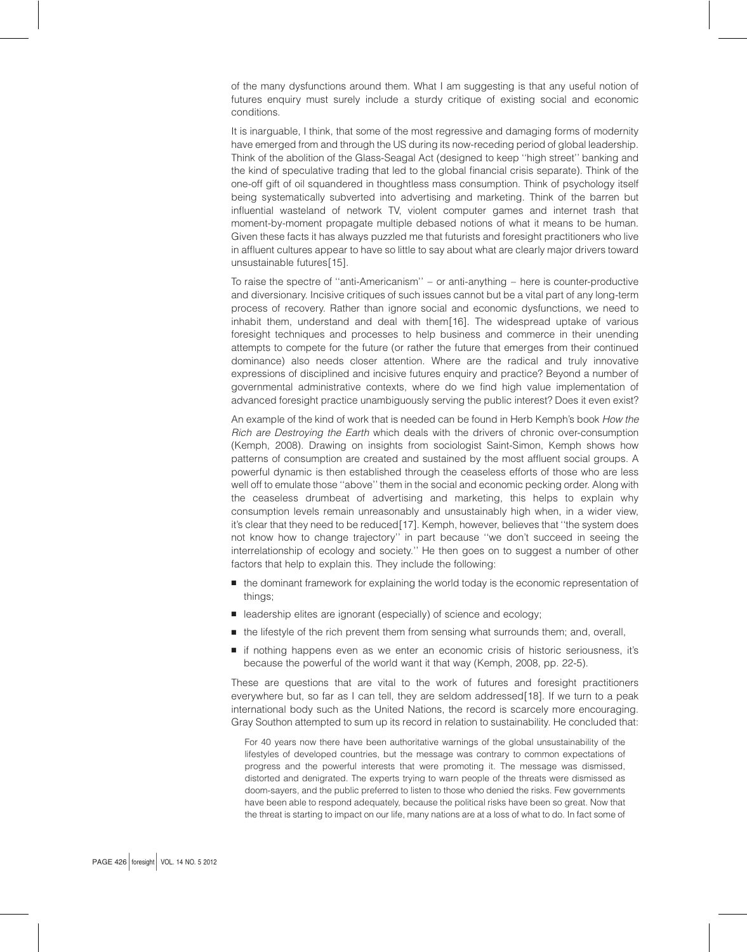of the many dysfunctions around them. What I am suggesting is that any useful notion of futures enquiry must surely include a sturdy critique of existing social and economic conditions.

It is inarguable, I think, that some of the most regressive and damaging forms of modernity have emerged from and through the US during its now-receding period of global leadership. Think of the abolition of the Glass-Seagal Act (designed to keep ''high street'' banking and the kind of speculative trading that led to the global financial crisis separate). Think of the one-off gift of oil squandered in thoughtless mass consumption. Think of psychology itself being systematically subverted into advertising and marketing. Think of the barren but influential wasteland of network TV, violent computer games and internet trash that moment-by-moment propagate multiple debased notions of what it means to be human. Given these facts it has always puzzled me that futurists and foresight practitioners who live in affluent cultures appear to have so little to say about what are clearly major drivers toward unsustainable futures[15].

To raise the spectre of ''anti-Americanism'' – or anti-anything – here is counter-productive and diversionary. Incisive critiques of such issues cannot but be a vital part of any long-term process of recovery. Rather than ignore social and economic dysfunctions, we need to inhabit them, understand and deal with them[16]. The widespread uptake of various foresight techniques and processes to help business and commerce in their unending attempts to compete for the future (or rather the future that emerges from their continued dominance) also needs closer attention. Where are the radical and truly innovative expressions of disciplined and incisive futures enquiry and practice? Beyond a number of governmental administrative contexts, where do we find high value implementation of advanced foresight practice unambiguously serving the public interest? Does it even exist?

An example of the kind of work that is needed can be found in Herb Kemph's book How the Rich are Destroying the Earth which deals with the drivers of chronic over-consumption (Kemph, 2008). Drawing on insights from sociologist Saint-Simon, Kemph shows how patterns of consumption are created and sustained by the most affluent social groups. A powerful dynamic is then established through the ceaseless efforts of those who are less well off to emulate those ''above'' them in the social and economic pecking order. Along with the ceaseless drumbeat of advertising and marketing, this helps to explain why consumption levels remain unreasonably and unsustainably high when, in a wider view, it's clear that they need to be reduced[17]. Kemph, however, believes that ''the system does not know how to change trajectory'' in part because ''we don't succeed in seeing the interrelationship of ecology and society.'' He then goes on to suggest a number of other factors that help to explain this. They include the following:

- $\blacksquare$  the dominant framework for explaining the world today is the economic representation of things;
- **B** leadership elites are ignorant (especially) of science and ecology;
- $\blacksquare$  the lifestyle of the rich prevent them from sensing what surrounds them; and, overall,
- **If nothing happens even as we enter an economic crisis of historic seriousness, it's** because the powerful of the world want it that way (Kemph, 2008, pp. 22-5).

These are questions that are vital to the work of futures and foresight practitioners everywhere but, so far as I can tell, they are seldom addressed[18]. If we turn to a peak international body such as the United Nations, the record is scarcely more encouraging. Gray Southon attempted to sum up its record in relation to sustainability. He concluded that:

For 40 years now there have been authoritative warnings of the global unsustainability of the lifestyles of developed countries, but the message was contrary to common expectations of progress and the powerful interests that were promoting it. The message was dismissed, distorted and denigrated. The experts trying to warn people of the threats were dismissed as doom-sayers, and the public preferred to listen to those who denied the risks. Few governments have been able to respond adequately, because the political risks have been so great. Now that the threat is starting to impact on our life, many nations are at a loss of what to do. In fact some of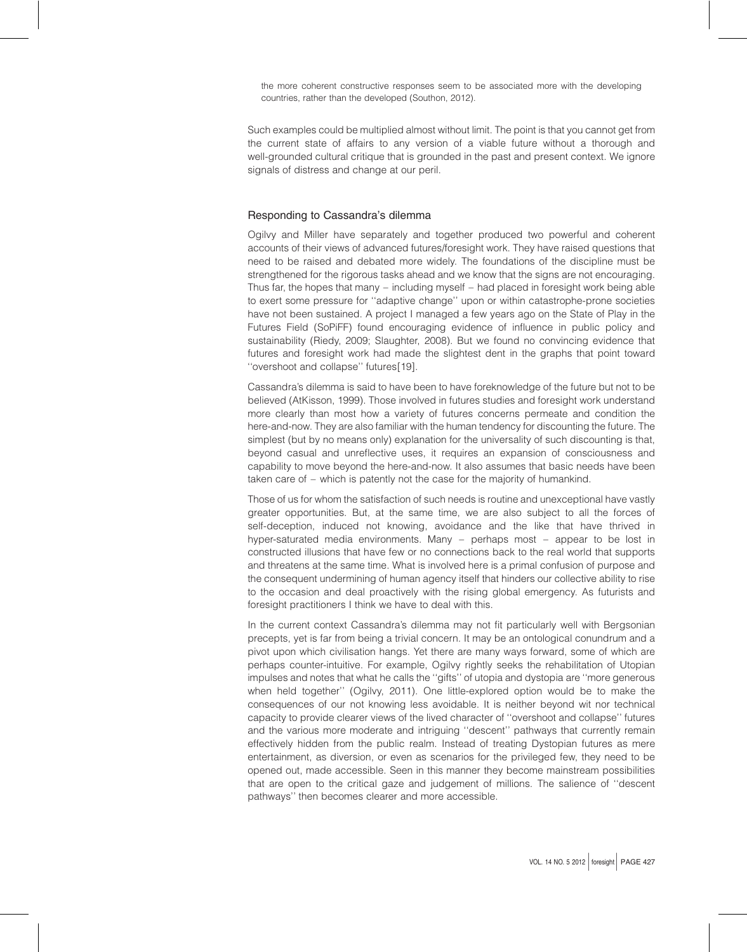the more coherent constructive responses seem to be associated more with the developing countries, rather than the developed (Southon, 2012).

Such examples could be multiplied almost without limit. The point is that you cannot get from the current state of affairs to any version of a viable future without a thorough and well-grounded cultural critique that is grounded in the past and present context. We ignore signals of distress and change at our peril.

#### Responding to Cassandra's dilemma

Ogilvy and Miller have separately and together produced two powerful and coherent accounts of their views of advanced futures/foresight work. They have raised questions that need to be raised and debated more widely. The foundations of the discipline must be strengthened for the rigorous tasks ahead and we know that the signs are not encouraging. Thus far, the hopes that many – including myself – had placed in foresight work being able to exert some pressure for ''adaptive change'' upon or within catastrophe-prone societies have not been sustained. A project I managed a few years ago on the State of Play in the Futures Field (SoPiFF) found encouraging evidence of influence in public policy and sustainability (Riedy, 2009; Slaughter, 2008). But we found no convincing evidence that futures and foresight work had made the slightest dent in the graphs that point toward ''overshoot and collapse'' futures[19].

Cassandra's dilemma is said to have been to have foreknowledge of the future but not to be believed (AtKisson, 1999). Those involved in futures studies and foresight work understand more clearly than most how a variety of futures concerns permeate and condition the here-and-now. They are also familiar with the human tendency for discounting the future. The simplest (but by no means only) explanation for the universality of such discounting is that, beyond casual and unreflective uses, it requires an expansion of consciousness and capability to move beyond the here-and-now. It also assumes that basic needs have been taken care of – which is patently not the case for the majority of humankind.

Those of us for whom the satisfaction of such needs is routine and unexceptional have vastly greater opportunities. But, at the same time, we are also subject to all the forces of self-deception, induced not knowing, avoidance and the like that have thrived in hyper-saturated media environments. Many – perhaps most – appear to be lost in constructed illusions that have few or no connections back to the real world that supports and threatens at the same time. What is involved here is a primal confusion of purpose and the consequent undermining of human agency itself that hinders our collective ability to rise to the occasion and deal proactively with the rising global emergency. As futurists and foresight practitioners I think we have to deal with this.

In the current context Cassandra's dilemma may not fit particularly well with Bergsonian precepts, yet is far from being a trivial concern. It may be an ontological conundrum and a pivot upon which civilisation hangs. Yet there are many ways forward, some of which are perhaps counter-intuitive. For example, Ogilvy rightly seeks the rehabilitation of Utopian impulses and notes that what he calls the ''gifts'' of utopia and dystopia are ''more generous when held together'' (Ogilvy, 2011). One little-explored option would be to make the consequences of our not knowing less avoidable. It is neither beyond wit nor technical capacity to provide clearer views of the lived character of ''overshoot and collapse'' futures and the various more moderate and intriguing ''descent'' pathways that currently remain effectively hidden from the public realm. Instead of treating Dystopian futures as mere entertainment, as diversion, or even as scenarios for the privileged few, they need to be opened out, made accessible. Seen in this manner they become mainstream possibilities that are open to the critical gaze and judgement of millions. The salience of ''descent pathways'' then becomes clearer and more accessible.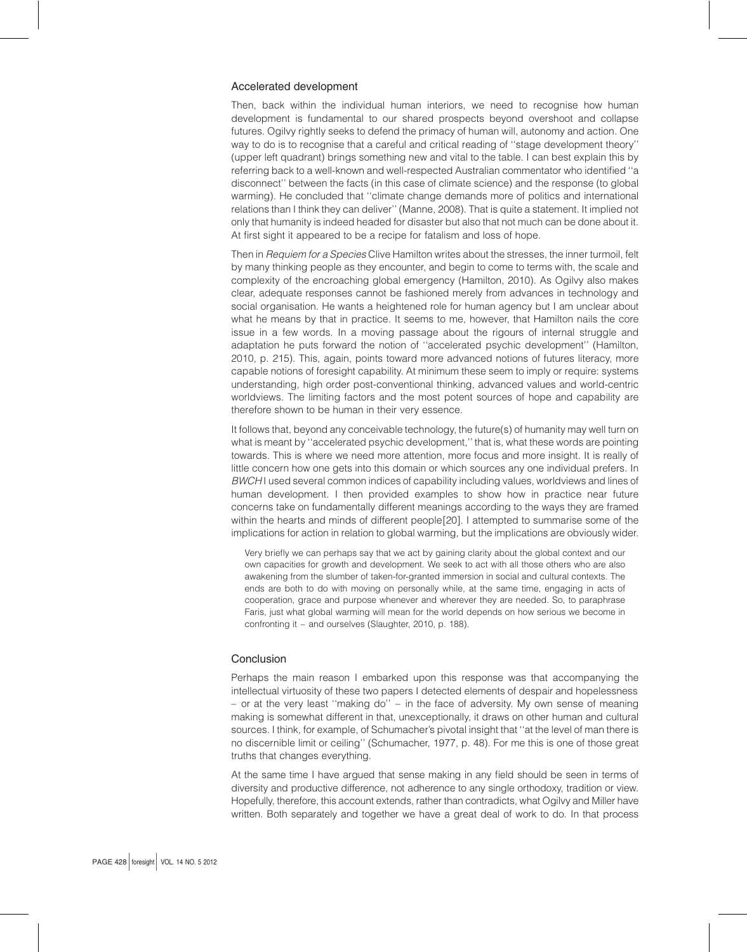#### Accelerated development

Then, back within the individual human interiors, we need to recognise how human development is fundamental to our shared prospects beyond overshoot and collapse futures. Ogilvy rightly seeks to defend the primacy of human will, autonomy and action. One way to do is to recognise that a careful and critical reading of ''stage development theory'' (upper left quadrant) brings something new and vital to the table. I can best explain this by referring back to a well-known and well-respected Australian commentator who identified ''a disconnect'' between the facts (in this case of climate science) and the response (to global warming). He concluded that ''climate change demands more of politics and international relations than I think they can deliver'' (Manne, 2008). That is quite a statement. It implied not only that humanity is indeed headed for disaster but also that not much can be done about it. At first sight it appeared to be a recipe for fatalism and loss of hope.

Then in Requiem for a Species Clive Hamilton writes about the stresses, the inner turmoil, felt by many thinking people as they encounter, and begin to come to terms with, the scale and complexity of the encroaching global emergency (Hamilton, 2010). As Ogilvy also makes clear, adequate responses cannot be fashioned merely from advances in technology and social organisation. He wants a heightened role for human agency but I am unclear about what he means by that in practice. It seems to me, however, that Hamilton nails the core issue in a few words. In a moving passage about the rigours of internal struggle and adaptation he puts forward the notion of ''accelerated psychic development'' (Hamilton, 2010, p. 215). This, again, points toward more advanced notions of futures literacy, more capable notions of foresight capability. At minimum these seem to imply or require: systems understanding, high order post-conventional thinking, advanced values and world-centric worldviews. The limiting factors and the most potent sources of hope and capability are therefore shown to be human in their very essence.

It follows that, beyond any conceivable technology, the future(s) of humanity may well turn on what is meant by ''accelerated psychic development,'' that is, what these words are pointing towards. This is where we need more attention, more focus and more insight. It is really of little concern how one gets into this domain or which sources any one individual prefers. In BWCHI used several common indices of capability including values, worldviews and lines of human development. I then provided examples to show how in practice near future concerns take on fundamentally different meanings according to the ways they are framed within the hearts and minds of different people[20]. I attempted to summarise some of the implications for action in relation to global warming, but the implications are obviously wider.

Very briefly we can perhaps say that we act by gaining clarity about the global context and our own capacities for growth and development. We seek to act with all those others who are also awakening from the slumber of taken-for-granted immersion in social and cultural contexts. The ends are both to do with moving on personally while, at the same time, engaging in acts of cooperation, grace and purpose whenever and wherever they are needed. So, to paraphrase Faris, just what global warming will mean for the world depends on how serious we become in confronting it – and ourselves (Slaughter, 2010, p. 188).

#### Conclusion

Perhaps the main reason I embarked upon this response was that accompanying the intellectual virtuosity of these two papers I detected elements of despair and hopelessness – or at the very least ''making do'' – in the face of adversity. My own sense of meaning making is somewhat different in that, unexceptionally, it draws on other human and cultural sources. I think, for example, of Schumacher's pivotal insight that ''at the level of man there is no discernible limit or ceiling'' (Schumacher, 1977, p. 48). For me this is one of those great truths that changes everything.

At the same time I have argued that sense making in any field should be seen in terms of diversity and productive difference, not adherence to any single orthodoxy, tradition or view. Hopefully, therefore, this account extends, rather than contradicts, what Ogilvy and Miller have written. Both separately and together we have a great deal of work to do. In that process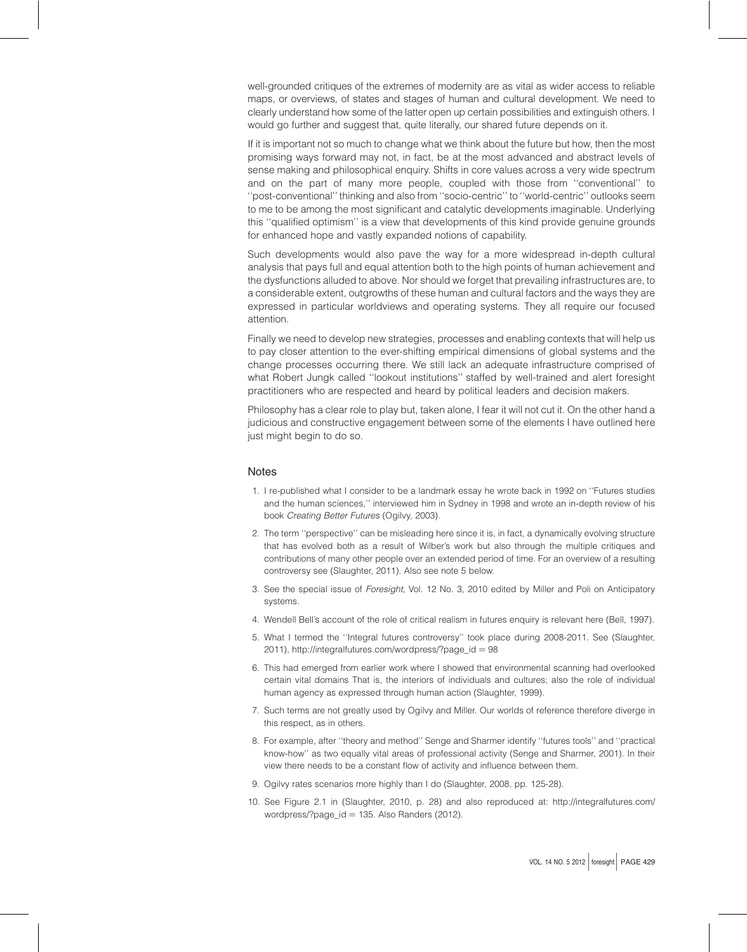well-grounded critiques of the extremes of modernity are as vital as wider access to reliable maps, or overviews, of states and stages of human and cultural development. We need to clearly understand how some of the latter open up certain possibilities and extinguish others. I would go further and suggest that, quite literally, our shared future depends on it.

If it is important not so much to change what we think about the future but how, then the most promising ways forward may not, in fact, be at the most advanced and abstract levels of sense making and philosophical enquiry. Shifts in core values across a very wide spectrum and on the part of many more people, coupled with those from ''conventional'' to ''post-conventional'' thinking and also from ''socio-centric'' to ''world-centric'' outlooks seem to me to be among the most significant and catalytic developments imaginable. Underlying this ''qualified optimism'' is a view that developments of this kind provide genuine grounds for enhanced hope and vastly expanded notions of capability.

Such developments would also pave the way for a more widespread in-depth cultural analysis that pays full and equal attention both to the high points of human achievement and the dysfunctions alluded to above. Nor should we forget that prevailing infrastructures are, to a considerable extent, outgrowths of these human and cultural factors and the ways they are expressed in particular worldviews and operating systems. They all require our focused attention.

Finally we need to develop new strategies, processes and enabling contexts that will help us to pay closer attention to the ever-shifting empirical dimensions of global systems and the change processes occurring there. We still lack an adequate infrastructure comprised of what Robert Jungk called ''lookout institutions'' staffed by well-trained and alert foresight practitioners who are respected and heard by political leaders and decision makers.

Philosophy has a clear role to play but, taken alone, I fear it will not cut it. On the other hand a judicious and constructive engagement between some of the elements I have outlined here just might begin to do so.

#### **Notes**

- 1. I re-published what I consider to be a landmark essay he wrote back in 1992 on ''Futures studies and the human sciences,'' interviewed him in Sydney in 1998 and wrote an in-depth review of his book Creating Better Futures (Ogilvy, 2003).
- 2. The term ''perspective'' can be misleading here since it is, in fact, a dynamically evolving structure that has evolved both as a result of Wilber's work but also through the multiple critiques and contributions of many other people over an extended period of time. For an overview of a resulting controversy see (Slaughter, 2011). Also see note 5 below.
- 3. See the special issue of Foresight, Vol. 12 No. 3, 2010 edited by Miller and Poli on Anticipatory systems.
- 4. Wendell Bell's account of the role of critical realism in futures enquiry is relevant here (Bell, 1997).
- 5. What I termed the ''Integral futures controversy'' took place during 2008-2011. See (Slaughter, 2011), http://integralfutures.com/wordpress/?page\_id =  $98$
- 6. This had emerged from earlier work where I showed that environmental scanning had overlooked certain vital domains That is, the interiors of individuals and cultures; also the role of individual human agency as expressed through human action (Slaughter, 1999).
- 7. Such terms are not greatly used by Ogilvy and Miller. Our worlds of reference therefore diverge in this respect, as in others.
- 8. For example, after ''theory and method'' Senge and Sharmer identify ''futures tools'' and ''practical know-how'' as two equally vital areas of professional activity (Senge and Sharmer, 2001). In their view there needs to be a constant flow of activity and influence between them.
- 9. Ogilvy rates scenarios more highly than I do (Slaughter, 2008, pp. 125-28).
- 10. See Figure 2.1 in (Slaughter, 2010, p. 28) and also reproduced at: http://integralfutures.com/ wordpress/?page\_id = 135. Also Randers (2012).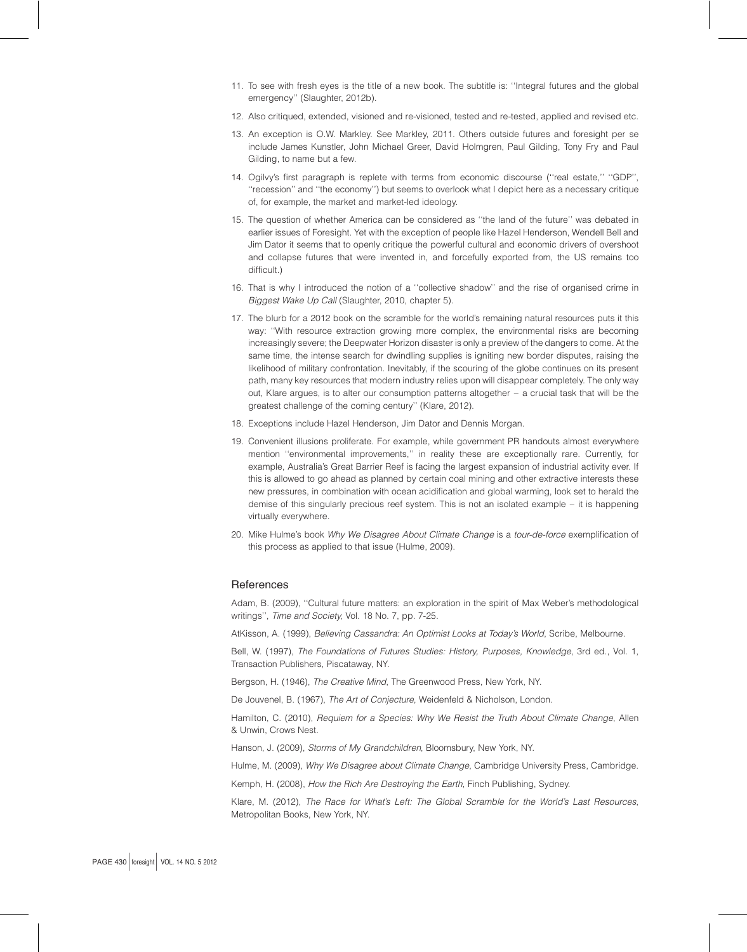- 11. To see with fresh eyes is the title of a new book. The subtitle is: ''Integral futures and the global emergency'' (Slaughter, 2012b).
- 12. Also critiqued, extended, visioned and re-visioned, tested and re-tested, applied and revised etc.
- 13. An exception is O.W. Markley. See Markley, 2011. Others outside futures and foresight per se include James Kunstler, John Michael Greer, David Holmgren, Paul Gilding, Tony Fry and Paul Gilding, to name but a few.
- 14. Ogilvy's first paragraph is replete with terms from economic discourse (''real estate,'' ''GDP'', ''recession'' and ''the economy'') but seems to overlook what I depict here as a necessary critique of, for example, the market and market-led ideology.
- 15. The question of whether America can be considered as ''the land of the future'' was debated in earlier issues of Foresight. Yet with the exception of people like Hazel Henderson, Wendell Bell and Jim Dator it seems that to openly critique the powerful cultural and economic drivers of overshoot and collapse futures that were invented in, and forcefully exported from, the US remains too difficult.)
- 16. That is why I introduced the notion of a ''collective shadow'' and the rise of organised crime in Biggest Wake Up Call (Slaughter, 2010, chapter 5).
- 17. The blurb for a 2012 book on the scramble for the world's remaining natural resources puts it this way: ''With resource extraction growing more complex, the environmental risks are becoming increasingly severe; the Deepwater Horizon disaster is only a preview of the dangers to come. At the same time, the intense search for dwindling supplies is igniting new border disputes, raising the likelihood of military confrontation. Inevitably, if the scouring of the globe continues on its present path, many key resources that modern industry relies upon will disappear completely. The only way out, Klare argues, is to alter our consumption patterns altogether – a crucial task that will be the greatest challenge of the coming century'' (Klare, 2012).
- 18. Exceptions include Hazel Henderson, Jim Dator and Dennis Morgan.
- 19. Convenient illusions proliferate. For example, while government PR handouts almost everywhere mention ''environmental improvements,'' in reality these are exceptionally rare. Currently, for example, Australia's Great Barrier Reef is facing the largest expansion of industrial activity ever. If this is allowed to go ahead as planned by certain coal mining and other extractive interests these new pressures, in combination with ocean acidification and global warming, look set to herald the demise of this singularly precious reef system. This is not an isolated example – it is happening virtually everywhere.
- 20. Mike Hulme's book Why We Disagree About Climate Change is a tour-de-force exemplification of this process as applied to that issue (Hulme, 2009).

#### References

Adam, B. (2009), ''Cultural future matters: an exploration in the spirit of Max Weber's methodological writings'', Time and Society, Vol. 18 No. 7, pp. 7-25.

AtKisson, A. (1999), Believing Cassandra: An Optimist Looks at Today's World, Scribe, Melbourne.

Bell, W. (1997), The Foundations of Futures Studies: History, Purposes, Knowledge, 3rd ed., Vol. 1, Transaction Publishers, Piscataway, NY.

Bergson, H. (1946), The Creative Mind, The Greenwood Press, New York, NY.

De Jouvenel, B. (1967), The Art of Conjecture, Weidenfeld & Nicholson, London.

Hamilton, C. (2010), Requiem for a Species: Why We Resist the Truth About Climate Change, Allen & Unwin, Crows Nest.

Hanson, J. (2009), Storms of My Grandchildren, Bloomsbury, New York, NY.

Hulme, M. (2009), Why We Disagree about Climate Change, Cambridge University Press, Cambridge.

Kemph, H. (2008), How the Rich Are Destroying the Earth, Finch Publishing, Sydney.

Klare, M. (2012), The Race for What's Left: The Global Scramble for the World's Last Resources, Metropolitan Books, New York, NY.